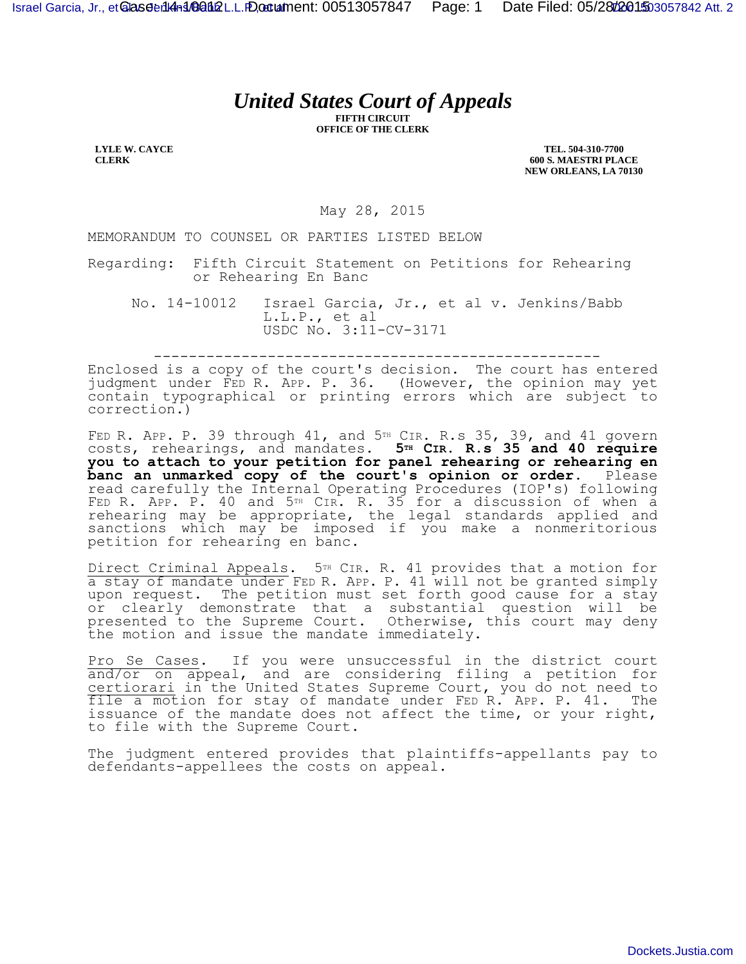## *United States Court of Appeals*

**FIFTH CIRCUIT OFFICE OF THE CLERK**

**LYLE W. CAYCE CLERK**

**TEL. 504-310-7700 600 S. MAESTRI PLACE NEW ORLEANS, LA 70130**

May 28, 2015

MEMORANDUM TO COUNSEL OR PARTIES LISTED BELOW

Regarding: Fifth Circuit Statement on Petitions for Rehearing or Rehearing En Banc

No. 14-10012 Israel Garcia, Jr., et al v. Jenkins/Babb L.L.P., et al USDC No. 3:11-CV-3171

---------------------------------------------------

Enclosed is a copy of the court's decision. The court has entered judgment under FED R. APP. P. 36. (However, the opinion may yet contain typographical or printing errors which are subject to correction.)

FED R. APP. P. 39 through  $41$ , and  $5<sup>TH</sup>$  CIR. R.s 35, 39, and  $41$  govern costs, rehearings, and mandates. **5TH CIR. R.s 35 and 40 require you to attach to your petition for panel rehearing or rehearing en banc an unmarked copy of the court's opinion or order.** Please read carefully the Internal Operating Procedures (IOP's) following FED R. APP. P. 40 and 5TH CIR. R. 35 for a discussion of when a rehearing may be appropriate, the legal standards applied and sanctions which may be imposed if you make a nonmeritorious petition for rehearing en banc.

Direct Criminal Appeals. 5<sup>TH</sup> CIR. R. 41 provides that a motion for a stay of mandate under FED R. APP. P. 41 will not be granted simply upon request. The petition must set forth good cause for a stay or clearly demonstrate that a substantial question will be presented to the Supreme Court. Otherwise, this court may deny the motion and issue the mandate immediately.

Pro Se Cases. If you were unsuccessful in the district court and/or on appeal, and are considering filing a petition for certiorari in the United States Supreme Court, you do not need to file a motion for stay of mandate under FED R. APP. P. 41. The issuance of the mandate does not affect the time, or your right, to file with the Supreme Court.

The judgment entered provides that plaintiffs-appellants pay to defendants-appellees the costs on appeal.